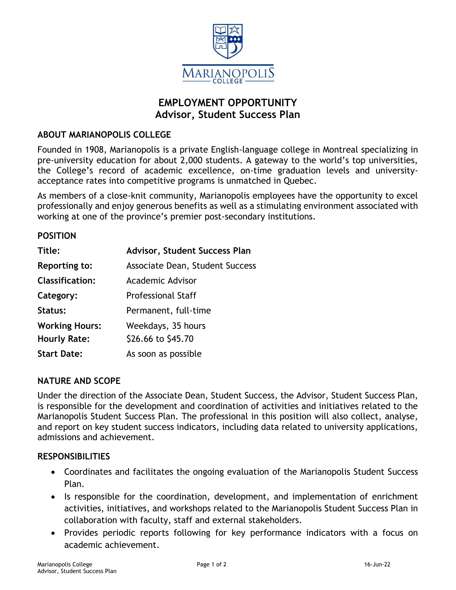

# **EMPLOYMENT OPPORTUNITY Advisor, Student Success Plan**

### **ABOUT MARIANOPOLIS COLLEGE**

Founded in 1908, Marianopolis is a private English-language college in Montreal specializing in pre-university education for about 2,000 students. A gateway to the world's top universities, the College's record of academic excellence, on-time graduation levels and universityacceptance rates into competitive programs is unmatched in Quebec.

As members of a close-knit community, Marianopolis employees have the opportunity to excel professionally and enjoy generous benefits as well as a stimulating environment associated with working at one of the province's premier post-secondary institutions.

#### **POSITION**

| Title:                 | Advisor, Student Success Plan   |
|------------------------|---------------------------------|
| <b>Reporting to:</b>   | Associate Dean, Student Success |
| <b>Classification:</b> | Academic Advisor                |
| Category:              | <b>Professional Staff</b>       |
| Status:                | Permanent, full-time            |
| <b>Working Hours:</b>  | Weekdays, 35 hours              |
| <b>Hourly Rate:</b>    | \$26.66 to \$45.70              |
| <b>Start Date:</b>     | As soon as possible             |

### **NATURE AND SCOPE**

Under the direction of the Associate Dean, Student Success, the Advisor, Student Success Plan, is responsible for the development and coordination of activities and initiatives related to the Marianopolis Student Success Plan. The professional in this position will also collect, analyse, and report on key student success indicators, including data related to university applications, admissions and achievement.

#### **RESPONSIBILITIES**

- Coordinates and facilitates the ongoing evaluation of the Marianopolis Student Success Plan.
- Is responsible for the coordination, development, and implementation of enrichment activities, initiatives, and workshops related to the Marianopolis Student Success Plan in collaboration with faculty, staff and external stakeholders.
- Provides periodic reports following for key performance indicators with a focus on academic achievement.